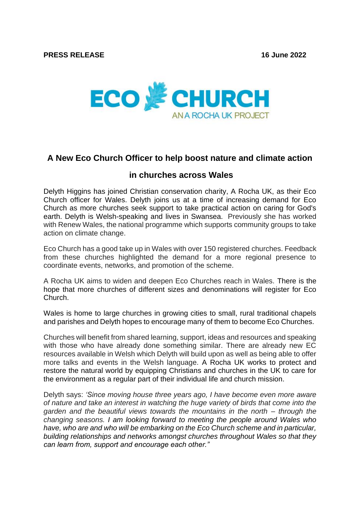

## **A New Eco Church Officer to help boost nature and climate action**

## **in churches across Wales**

Delyth Higgins has joined Christian conservation charity, A Rocha UK, as their Eco Church officer for Wales. Delyth joins us at a time of increasing demand for Eco Church as more churches seek support to take practical action on caring for God's earth. Delyth is Welsh-speaking and lives in Swansea. Previously she has worked with Renew Wales, the national programme which supports community groups to take action on climate change.

Eco Church has a good take up in Wales with over 150 registered churches. Feedback from these churches highlighted the demand for a more regional presence to coordinate events, networks, and promotion of the scheme.

A Rocha UK aims to widen and deepen Eco Churches reach in Wales. There is the hope that more churches of different sizes and denominations will register for Eco Church.

Wales is home to large churches in growing cities to small, rural traditional chapels and parishes and Delyth hopes to encourage many of them to become Eco Churches.

Churches will benefit from shared learning, support, ideas and resources and speaking with those who have already done something similar. There are already new EC resources available in Welsh which Delyth will build upon as well as being able to offer more talks and events in the Welsh language. A Rocha UK works to protect and restore the natural world by equipping Christians and churches in the UK to care for the environment as a regular part of their individual life and church mission.

Delyth says: *'Since moving house three years ago, I have become even more aware of nature and take an interest in watching the huge variety of birds that come into the garden and the beautiful views towards the mountains in the north – through the changing seasons. I am looking forward to meeting the people around Wales who have, who are and who will be embarking on the Eco Church scheme and in particular, building relationships and networks amongst churches throughout Wales so that they can learn from, support and encourage each other."*